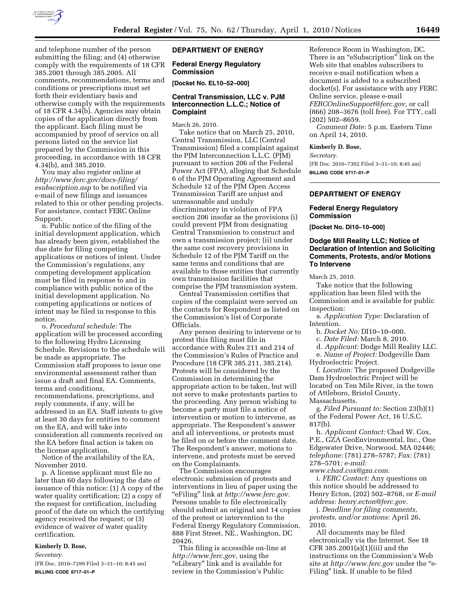

and telephone number of the person submitting the filing; and (4) otherwise comply with the requirements of 18 CFR 385.2001 through 385.2005. All comments, recommendations, terms and conditions or prescriptions must set forth their evidentiary basis and otherwise comply with the requirements of 18 CFR 4.34(b). Agencies may obtain copies of the application directly from the applicant. Each filing must be accompanied by proof of service on all persons listed on the service list prepared by the Commission in this proceeding, in accordance with 18 CFR 4.34(b), and 385.2010.

You may also register online at *http://www.ferc.gov/docs-filing/ esubscription.asp* to be notified via e-mail of new filings and issuances related to this or other pending projects. For assistance, contact FERC Online Support.

n. Public notice of the filing of the initial development application, which has already been given, established the due date for filing competing applications or notices of intent. Under the Commission's regulations, any competing development application must be filed in response to and in compliance with public notice of the initial development application. No competing applications or notices of intent may be filed in response to this notice.

o. *Procedural schedule:* The application will be processed according to the following Hydro Licensing Schedule. Revisions to the schedule will be made as appropriate. The Commission staff proposes to issue one environmental assessment rather than issue a draft and final EA. Comments, terms and conditions, recommendations, prescriptions, and reply comments, if any, will be addressed in an EA. Staff intents to give at least 30 days for entities to comment on the EA, and will take into consideration all comments received on the EA before final action is taken on the license application.

Notice of the availability of the EA, November 2010.

p. A license applicant must file no later than 60 days following the date of issuance of this notice: (1) A copy of the water quality certification; (2) a copy of the request for certification, including proof of the date on which the certifying agency received the request; or (3) evidence of waiver of water quality certification.

#### **Kimberly D. Bose,**

*Secretary.* 

[FR Doc. 2010–7299 Filed 3–31–10; 8:45 am] **BILLING CODE 6717–01–P** 

# **DEPARTMENT OF ENERGY**

## **Federal Energy Regulatory Commission**

**[Docket No. EL10–52–000]** 

# **Central Transmission, LLC v. PJM Interconnection L.L.C.; Notice of Complaint**

March 26, 2010.

Take notice that on March 25, 2010, Central Transmission, LLC (Central Transmission) filed a complaint against the PJM Interconnection L.L.C. (PJM) pursuant to section 206 of the Federal Power Act (FPA), alleging that Schedule 6 of the PJM Operating Agreement and Schedule 12 of the PJM Open Access Transmission Tariff are unjust and unreasonable and unduly discriminatory in violation of FPA section 206 insofar as the provisions (i) could prevent PJM from designating Central Transmission to construct and own a transmission project; (ii) under the same cost recovery provisions in Schedule 12 of the PJM Tariff on the same terms and conditions that are available to those entities that currently own transmission facilities that comprise the PJM transmission system.

Central Transmission certifies that copies of the complaint were served on the contacts for Respondent as listed on the Commission's list of Corporate Officials.

Any person desiring to intervene or to protest this filing must file in accordance with Rules 211 and 214 of the Commission's Rules of Practice and Procedure (18 CFR 385.211, 385.214). Protests will be considered by the Commission in determining the appropriate action to be taken, but will not serve to make protestants parties to the proceeding. Any person wishing to become a party must file a notice of intervention or motion to intervene, as appropriate. The Respondent's answer and all interventions, or protests must be filed on or before the comment date. The Respondent's answer, motions to intervene, and protests must be served on the Complainants.

The Commission encourages electronic submission of protests and interventions in lieu of paper using the ''eFiling'' link at *http://www.ferc.gov.*  Persons unable to file electronically should submit an original and 14 copies of the protest or intervention to the Federal Energy Regulatory Commission, 888 First Street, NE., Washington, DC 20426.

This filing is accessible on-line at *http://www.ferc.gov,* using the ''eLibrary'' link and is available for review in the Commission's Public

Reference Room in Washington, DC. There is an "eSubscription" link on the Web site that enables subscribers to receive e-mail notification when a document is added to a subscribed docket(s). For assistance with any FERC Online service, please e-mail *FERCOnlineSupport@ferc.gov,* or call (866) 208–3676 (toll free). For TTY, call (202) 502–8659.

*Comment Date:* 5 p.m. Eastern Time on April 14, 2010.

#### **Kimberly D. Bose,**

*Secretary.* 

[FR Doc. 2010–7302 Filed 3–31–10; 8:45 am] **BILLING CODE 6717–01–P** 

# **DEPARTMENT OF ENERGY**

## **Federal Energy Regulatory Commission**

**[Docket No. DI10–10–000]** 

## **Dodge Mill Reality LLC; Notice of Declaration of Intention and Soliciting Comments, Protests, and/or Motions To Intervene**

March 25, 2010.

Take notice that the following application has been filed with the Commission and is available for public inspection:

a. *Application Type:* Declaration of Intention.

b. *Docket No:* DI10–10–000.

c. *Date Filed:* March 8, 2010.

d. *Applicant:* Dodge Mill Reality LLC.

e. *Name of Project:* Dodgeville Dam

Hydroelectric Project.

f. *Location:* The proposed Dodgeville Dam Hydroelectric Project will be located on Ten Mile River, in the town of Attleboro, Bristol County, Massachusetts.

g. *Filed Pursuant to:* Section 23(b)(1) of the Federal Power Act, 16 U.S.C. 817(b).

h. *Applicant Contact:* Chad W. Cox, P.E., GZA GeoEnvironmental, Inc., One Edgewater Drive, Norwood, MA 02446; *telephone:* (781) 278–5787; *Fax:* (781) 278–5701*; e-mail:* 

*www.chad.cox@gza.com*.

i. *FERC Contact:* Any questions on this notice should be addressed to Henry Ecton, (202) 502–8768, or *E-mail address: henry.ecton@ferc.gov.* 

j. *Deadline for filing comments, protests, and/or motions:* April 26, 2010.

All documents may be filed electronically via the Internet. See 18 CFR 385.2001(a)(1)(iii) and the instructions on the Commission's Web site at *http://www.ferc.gov* under the ''e-Filing'' link. If unable to be filed